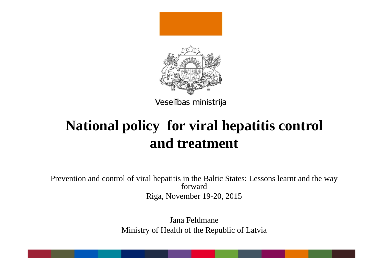

# **National policy for viral hepatitis control and treatment**

Prevention and control of viral hepatitis in the Baltic States: Lessons learnt and the way forwardRiga, November 19-20, 2015

> Jana FeldmaneMinistry of Health of the Republic of Latvia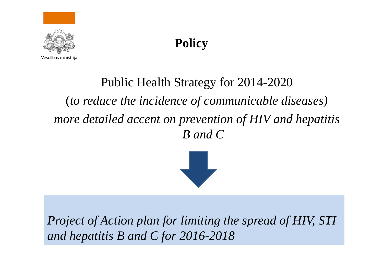

## **Policy**

# Public Health Strategy for 2014-2020 (*to reduce the incidence of communicable diseases) more detailed accent on prevention of HIV and hepatitis B and C*



*Project of Action plan for limiting the spread of HIV, STI and hepatitis B and C for 2016-2018*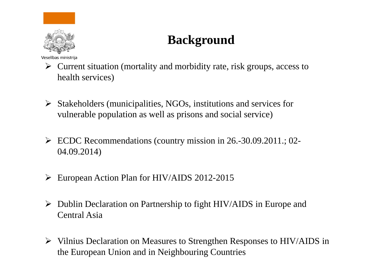

### **Background**

Veselības ministrija

- $\triangleright$  Current situation (mortality and morbidity rate, risk groups, access to health services)
- $\triangleright$  Stakeholders (municipalities, NGOs, institutions and services for vulnerable population as well as prisons and social service)
- ECDC Recommendations (country mission in 26.-30.09.2011.; 02- 04.09.2014)
- European Action Plan for HIV/AIDS 2012-2015
- Dublin Declaration on Partnership to fight HIV/AIDS in Europe and Central Asia
- $\triangleright$  Vilnius Declaration on Measures to Strengthen Responses to HIV/AIDS in the European Union and in Neighbouring Countries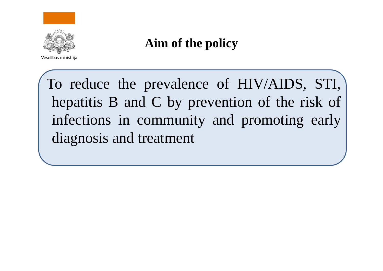

### **Aim of the policy**

To reduce the prevalence of HIV/AIDS, STI, hepatitis B and C by prevention of the risk of infections in community and promoting early diagnosis and treatment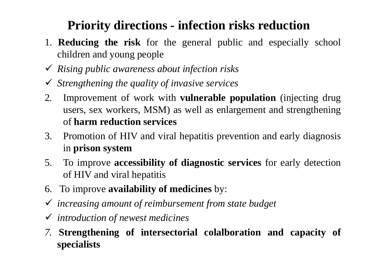### **Priority directions - infection risks reduction**

- 1. **Reducing the risk** for the general public and especially school children and young people
- *Rising public awareness about infection risks*
- *Strengthening the quality of invasive services*
- 2. Improvement of work with **vulnerable population** (injecting drug users, sex workers, MSM) as well as enlargement and strengthening of **harm reduction services**
- 3. Promotion of HIV and viral hepatitis prevention and early diagnosis in **prison system**
- 5. To improve **accessibility of diagnostic services** for early detection of HIV and viral hepatitis
- 6. To improve **availability of medicines** by:
- *increasing amount of reimbursement from state budget*
- *introduction of newest medicines*
- *7.* **Strengthening of intersectorial colalboration and capacity of specialists**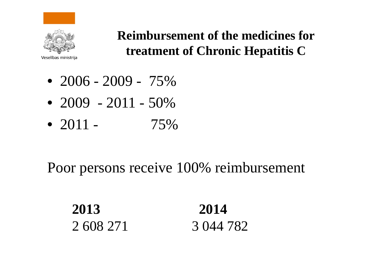

### **Reimbursement of the medicines for treatment of Chronic Hepatitis C**

Veselības ministrija

- 2006 2009 75%
- 2009 2011 50%
- 2011 75%

### Poor persons receive 100% reimbursement

**2013 2014**2 608 271 3 044 782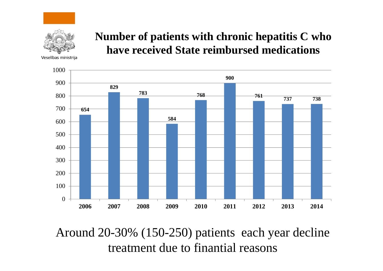

#### **Number of patients with chronic hepatitis C who have received State reimbursed medications**

Veselības ministrija



Around 20-30% (150-250) patients each year decline treatment due to finantial reasons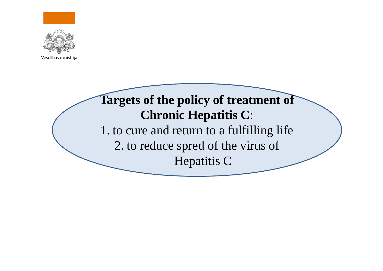

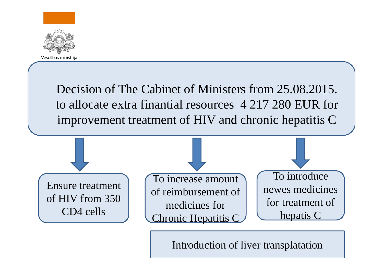

Decision of The Cabinet of Ministers from 25.08.2015. to allocate extra finantial resources 4 217 280 EUR for improvement treatment of HIV and chronic hepatitis C



Introduction of liver transplatation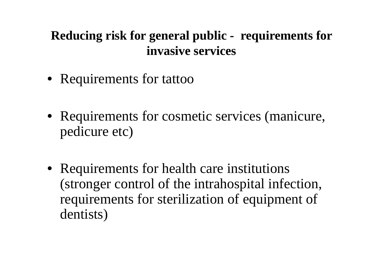### **Reducing risk for general public - requirements for invasive services**

- Requirements for tattoo
- Requirements for cosmetic services (manicure, pedicure etc)
- Requirements for health care institutions (stronger control of the intrahospital infection, requirements for sterilization of equipment of dentists)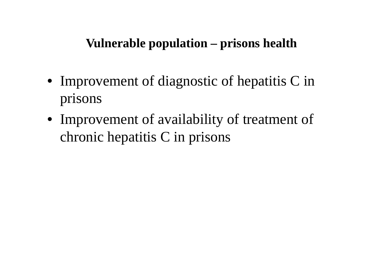### **Vulnerable population – prisons health**

- Improvement of diagnostic of hepatitis C in prisons
- Improvement of availability of treatment of chronic hepatitis C in prisons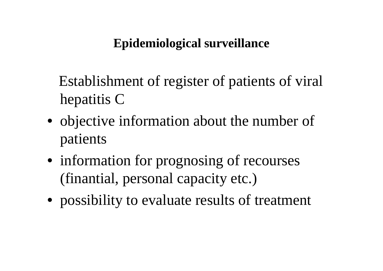### **Epidemiological surveillance**

Establishment of register of patients of viral hepatitis C

- objective information about the number of patients
- information for prognosing of recourses (finantial, personal capacity etc.)
- possibility to evaluate results of treatment